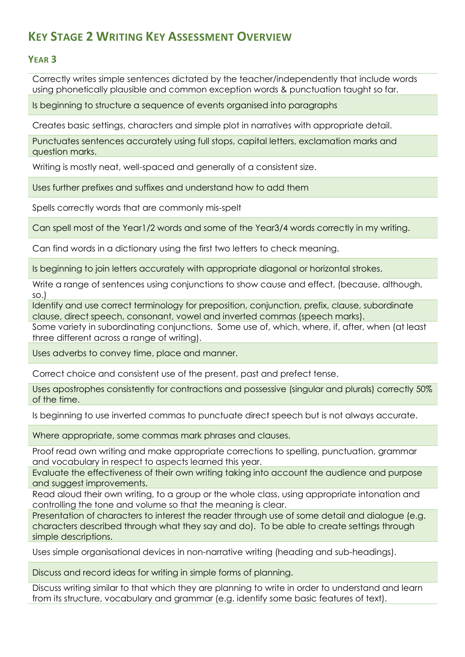## **KEY STAGE 2 WRITING KEY ASSESSMENT OVERVIEW**

## **YEAR 3**

Correctly writes simple sentences dictated by the teacher/independently that include words using phonetically plausible and common exception words & punctuation taught so far.

Is beginning to structure a sequence of events organised into paragraphs

Creates basic settings, characters and simple plot in narratives with appropriate detail.

Punctuates sentences accurately using full stops, capital letters, exclamation marks and question marks.

Writing is mostly neat, well-spaced and generally of a consistent size.

Uses further prefixes and suffixes and understand how to add them

Spells correctly words that are commonly mis-spelt

Can spell most of the Year1/2 words and some of the Year3/4 words correctly in my writing.

Can find words in a dictionary using the first two letters to check meaning.

Is beginning to join letters accurately with appropriate diagonal or horizontal strokes.

Write a range of sentences using conjunctions to show cause and effect, (because, although, so.)

Identify and use correct terminology for preposition, conjunction, prefix, clause, subordinate clause, direct speech, consonant, vowel and inverted commas (speech marks).

Some variety in subordinating conjunctions. Some use of, which, where, if, after, when (at least three different across a range of writing).

Uses adverbs to convey time, place and manner.

Correct choice and consistent use of the present, past and prefect tense.

Uses apostrophes consistently for contractions and possessive (singular and plurals) correctly 50% of the time.

Is beginning to use inverted commas to punctuate direct speech but is not always accurate.

Where appropriate, some commas mark phrases and clauses.

Proof read own writing and make appropriate corrections to spelling, punctuation, grammar and vocabulary in respect to aspects learned this year.

Evaluate the effectiveness of their own writing taking into account the audience and purpose and suggest improvements.

Read aloud their own writing, to a group or the whole class, using appropriate intonation and controlling the tone and volume so that the meaning is clear.

Presentation of characters to interest the reader through use of some detail and dialogue (e.g. characters described through what they say and do). To be able to create settings through simple descriptions.

Uses simple organisational devices in non-narrative writing (heading and sub-headings).

Discuss and record ideas for writing in simple forms of planning.

Discuss writing similar to that which they are planning to write in order to understand and learn from its structure, vocabulary and grammar (e.g. identify some basic features of text).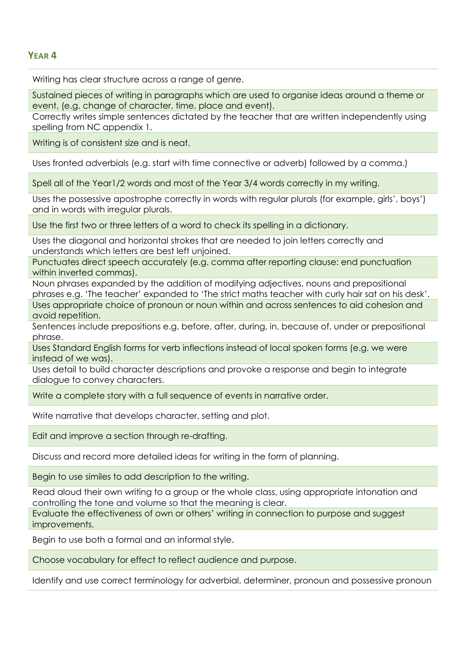## **YEAR 4**

Writing has clear structure across a range of genre.

Sustained pieces of writing in paragraphs which are used to organise ideas around a theme or event, (e.g. change of character, time, place and event).

Correctly writes simple sentences dictated by the teacher that are written independently using spelling from NC appendix 1.

Writing is of consistent size and is neat.

Uses fronted adverbials (e.g. start with time connective or adverb) followed by a comma.)

Spell all of the Year1/2 words and most of the Year 3/4 words correctly in my writing.

Uses the possessive apostrophe correctly in words with regular plurals (for example, girls', boys') and in words with irregular plurals.

Use the first two or three letters of a word to check its spelling in a dictionary.

Uses the diagonal and horizontal strokes that are needed to join letters correctly and understands which letters are best left unjoined.

Punctuates direct speech accurately (e.g. comma after reporting clause: end punctuation within inverted commas).

Noun phrases expanded by the addition of modifying adjectives, nouns and prepositional phrases e.g. 'The teacher' expanded to 'The strict maths teacher with curly hair sat on his desk'. Uses appropriate choice of pronoun or noun within and across sentences to aid cohesion and avoid repetition.

Sentences include prepositions e.g. before, after, during, in, because of, under or prepositional phrase.

Uses Standard English forms for verb inflections instead of local spoken forms (e.g. we were instead of we was).

Uses detail to build character descriptions and provoke a response and begin to integrate dialogue to convey characters.

Write a complete story with a full sequence of events in narrative order.

Write narrative that develops character, setting and plot.

Edit and improve a section through re-drafting.

Discuss and record more detailed ideas for writing in the form of planning.

Begin to use similes to add description to the writing.

Read aloud their own writing to a group or the whole class, using appropriate intonation and controlling the tone and volume so that the meaning is clear.

Evaluate the effectiveness of own or others' writing in connection to purpose and suggest improvements.

Begin to use both a formal and an informal style.

Choose vocabulary for effect to reflect audience and purpose.

Identify and use correct terminology for adverbial, determiner, pronoun and possessive pronoun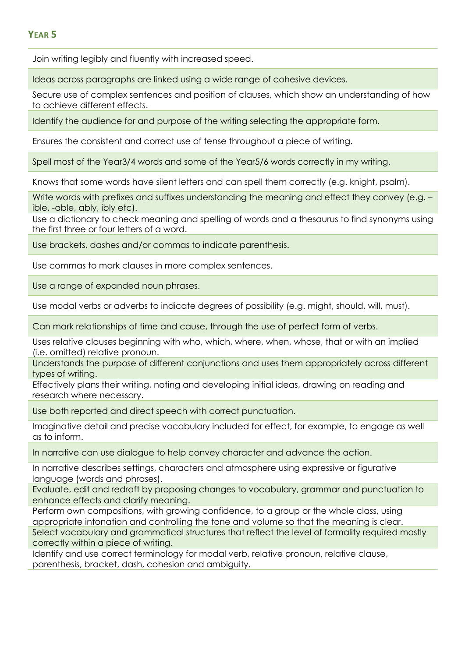## **YEAR 5**

Join writing legibly and fluently with increased speed.

Ideas across paragraphs are linked using a wide range of cohesive devices.

Secure use of complex sentences and position of clauses, which show an understanding of how to achieve different effects.

Identify the audience for and purpose of the writing selecting the appropriate form.

Ensures the consistent and correct use of tense throughout a piece of writing.

Spell most of the Year3/4 words and some of the Year5/6 words correctly in my writing.

Knows that some words have silent letters and can spell them correctly (e.g. knight, psalm).

Write words with prefixes and suffixes understanding the meaning and effect they convey (e.g. ible, -able, ably, ibly etc).

Use a dictionary to check meaning and spelling of words and a thesaurus to find synonyms using the first three or four letters of a word.

Use brackets, dashes and/or commas to indicate parenthesis.

Use commas to mark clauses in more complex sentences.

Use a range of expanded noun phrases.

Use modal verbs or adverbs to indicate degrees of possibility (e.g. might, should, will, must).

Can mark relationships of time and cause, through the use of perfect form of verbs.

Uses relative clauses beginning with who, which, where, when, whose, that or with an implied (i.e. omitted) relative pronoun.

Understands the purpose of different conjunctions and uses them appropriately across different types of writing.

Effectively plans their writing, noting and developing initial ideas, drawing on reading and research where necessary.

Use both reported and direct speech with correct punctuation.

Imaginative detail and precise vocabulary included for effect, for example, to engage as well as to inform.

In narrative can use dialogue to help convey character and advance the action.

In narrative describes settings, characters and atmosphere using expressive or figurative language (words and phrases).

Evaluate, edit and redraft by proposing changes to vocabulary, grammar and punctuation to enhance effects and clarify meaning.

Perform own compositions, with growing confidence, to a group or the whole class, using appropriate intonation and controlling the tone and volume so that the meaning is clear. Select vocabulary and grammatical structures that reflect the level of formality required mostly correctly within a piece of writing.

Identify and use correct terminology for modal verb, relative pronoun, relative clause, parenthesis, bracket, dash, cohesion and ambiguity.